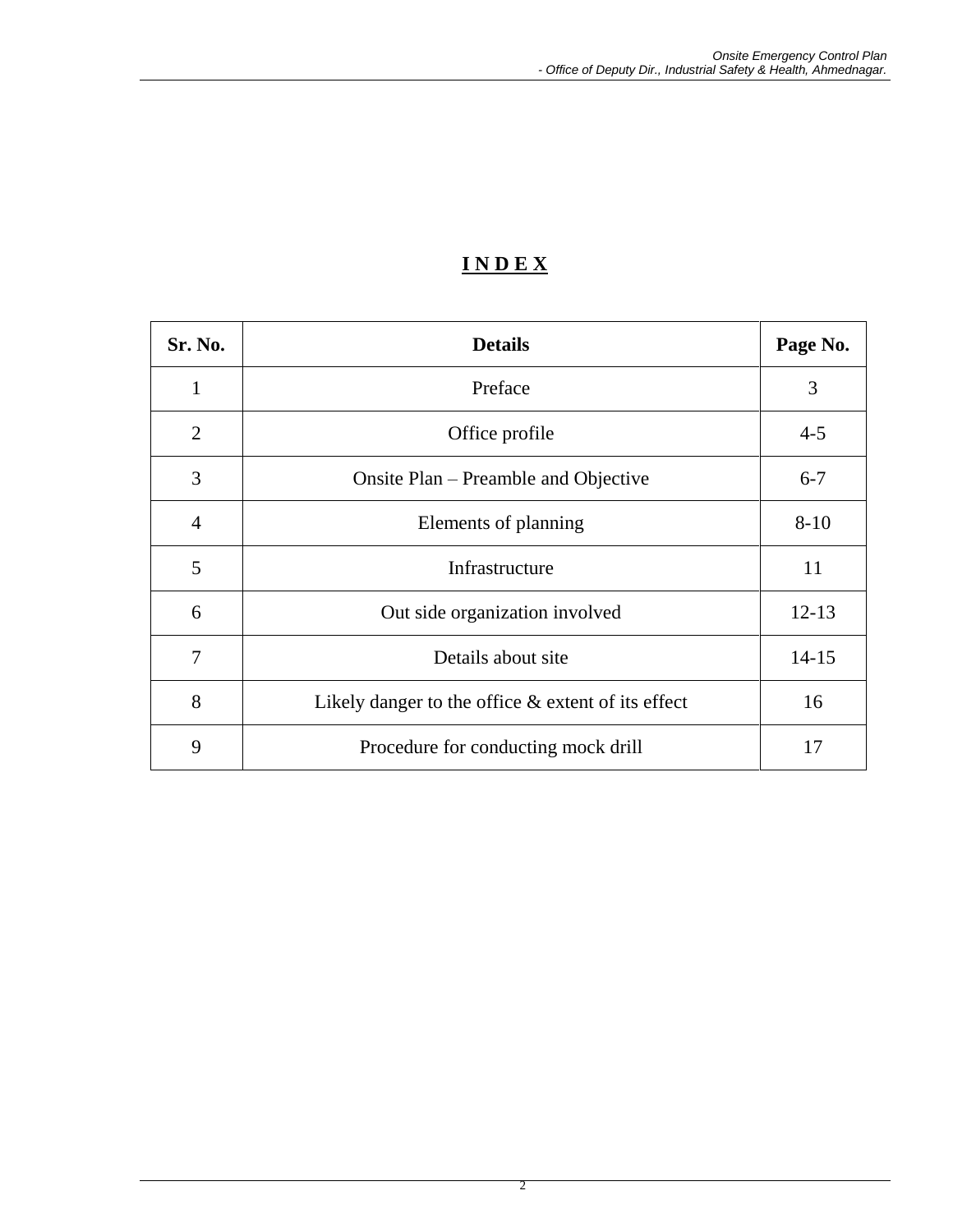# **I N D E X**

| Sr. No.        | <b>Details</b>                                        | Page No.  |
|----------------|-------------------------------------------------------|-----------|
| 1              | Preface                                               | 3         |
| $\overline{2}$ | Office profile                                        | $4 - 5$   |
| 3              | Onsite Plan – Preamble and Objective                  | $6 - 7$   |
| $\overline{4}$ | Elements of planning                                  | $8 - 10$  |
| 5              | Infrastructure                                        | 11        |
| 6              | Out side organization involved                        | $12 - 13$ |
| 7              | Details about site                                    | $14 - 15$ |
| 8              | Likely danger to the office $\&$ extent of its effect | 16        |
| 9              | Procedure for conducting mock drill                   | 17        |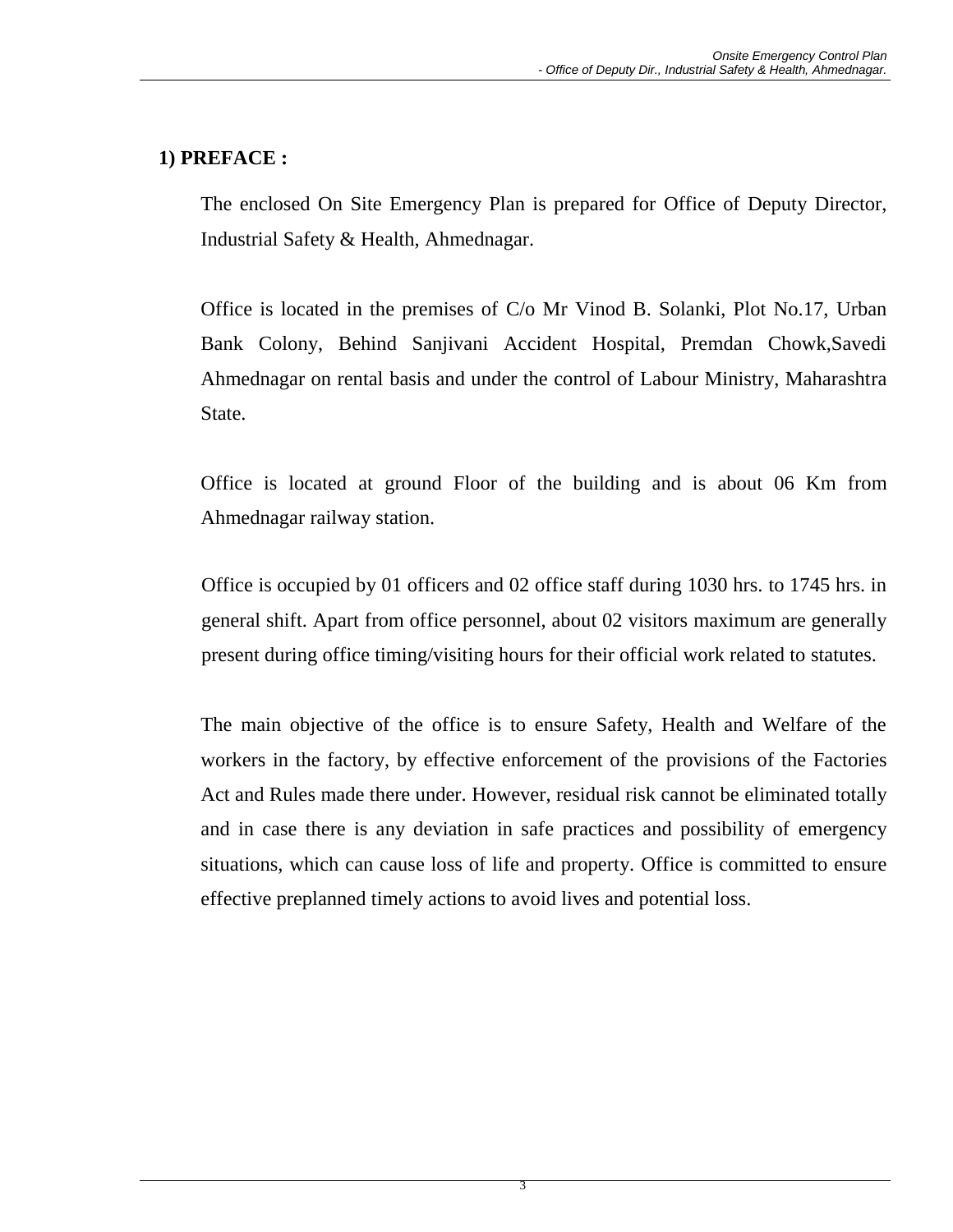## **1) PREFACE :**

The enclosed On Site Emergency Plan is prepared for Office of Deputy Director, Industrial Safety & Health, Ahmednagar.

Office is located in the premises of C/o Mr Vinod B. Solanki, Plot No.17, Urban Bank Colony, Behind Sanjivani Accident Hospital, Premdan Chowk,Savedi Ahmednagar on rental basis and under the control of Labour Ministry, Maharashtra State.

Office is located at ground Floor of the building and is about 06 Km from Ahmednagar railway station.

Office is occupied by 01 officers and 02 office staff during 1030 hrs. to 1745 hrs. in general shift. Apart from office personnel, about 02 visitors maximum are generally present during office timing/visiting hours for their official work related to statutes.

The main objective of the office is to ensure Safety, Health and Welfare of the workers in the factory, by effective enforcement of the provisions of the Factories Act and Rules made there under. However, residual risk cannot be eliminated totally and in case there is any deviation in safe practices and possibility of emergency situations, which can cause loss of life and property. Office is committed to ensure effective preplanned timely actions to avoid lives and potential loss.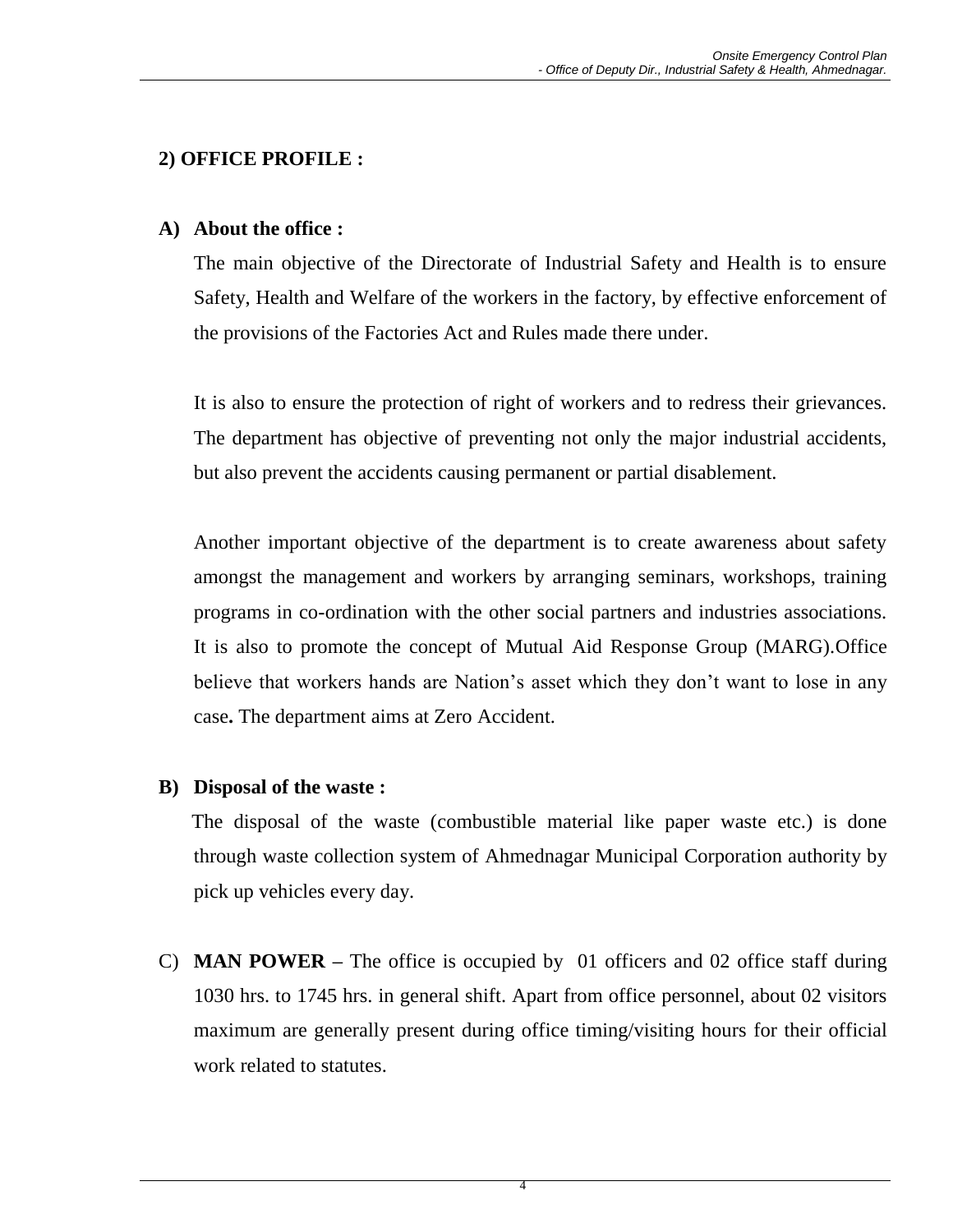## **2) OFFICE PROFILE :**

#### **A) About the office :**

The main objective of the Directorate of Industrial Safety and Health is to ensure Safety, Health and Welfare of the workers in the factory, by effective enforcement of the provisions of the Factories Act and Rules made there under.

It is also to ensure the protection of right of workers and to redress their grievances. The department has objective of preventing not only the major industrial accidents, but also prevent the accidents causing permanent or partial disablement.

Another important objective of the department is to create awareness about safety amongst the management and workers by arranging seminars, workshops, training programs in co-ordination with the other social partners and industries associations. It is also to promote the concept of Mutual Aid Response Group (MARG).Office believe that workers hands are Nation's asset which they don't want to lose in any case**.** The department aims at Zero Accident.

#### **B) Disposal of the waste :**

The disposal of the waste (combustible material like paper waste etc.) is done through waste collection system of Ahmednagar Municipal Corporation authority by pick up vehicles every day.

C) **MAN POWER –** The office is occupied by 01 officers and 02 office staff during 1030 hrs. to 1745 hrs. in general shift. Apart from office personnel, about 02 visitors maximum are generally present during office timing/visiting hours for their official work related to statutes.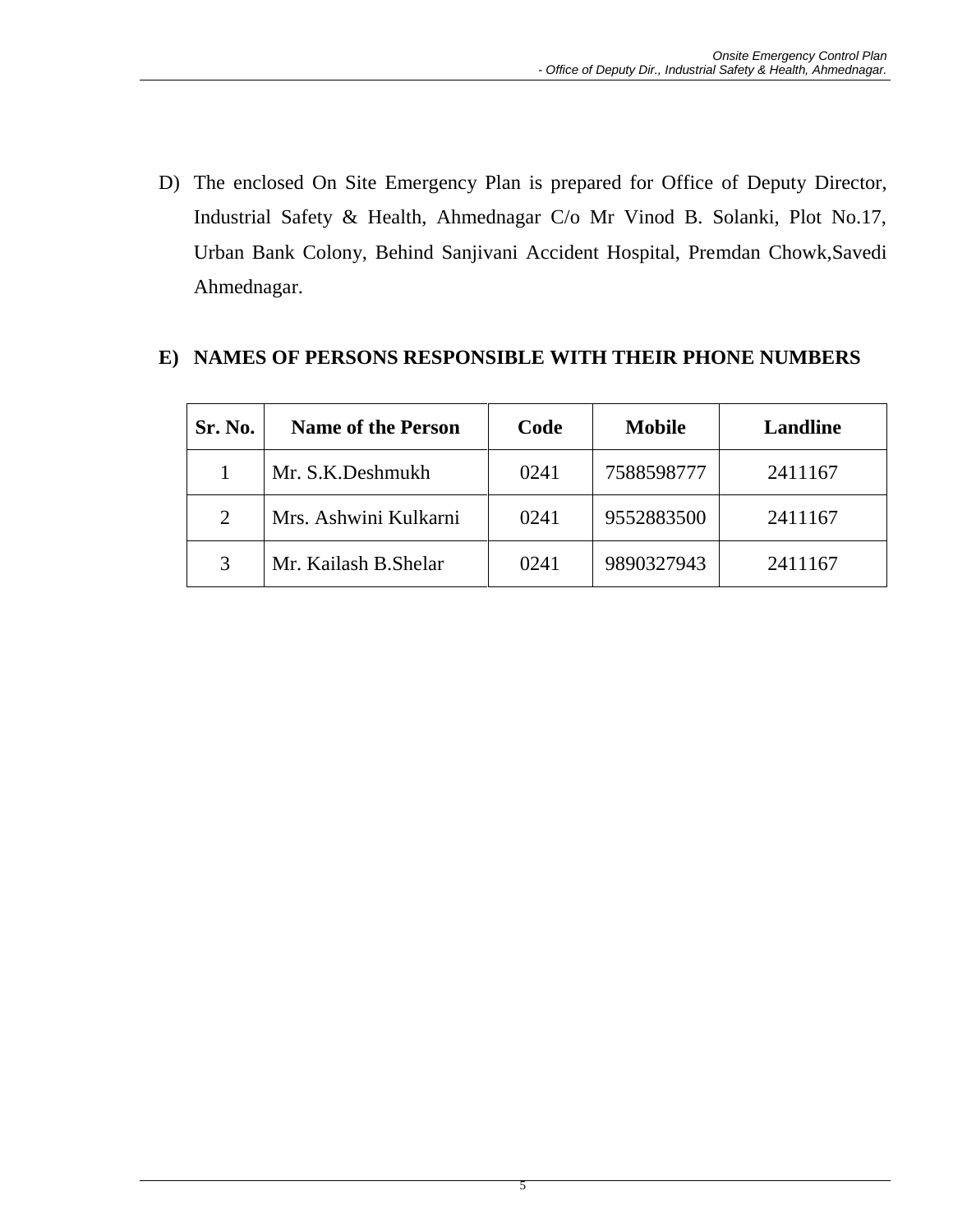D) The enclosed On Site Emergency Plan is prepared for Office of Deputy Director, Industrial Safety & Health, Ahmednagar C/o Mr Vinod B. Solanki, Plot No.17, Urban Bank Colony, Behind Sanjivani Accident Hospital, Premdan Chowk,Savedi Ahmednagar.

## **E) NAMES OF PERSONS RESPONSIBLE WITH THEIR PHONE NUMBERS**

| Sr. No. | <b>Name of the Person</b> | Code | <b>Mobile</b> | <b>Landline</b> |
|---------|---------------------------|------|---------------|-----------------|
|         | Mr. S.K.Deshmukh          | 0241 | 7588598777    | 2411167         |
| 2       | Mrs. Ashwini Kulkarni     | 0241 | 9552883500    | 2411167         |
| 3       | Mr. Kailash B. Shelar     | 0241 | 9890327943    | 2411167         |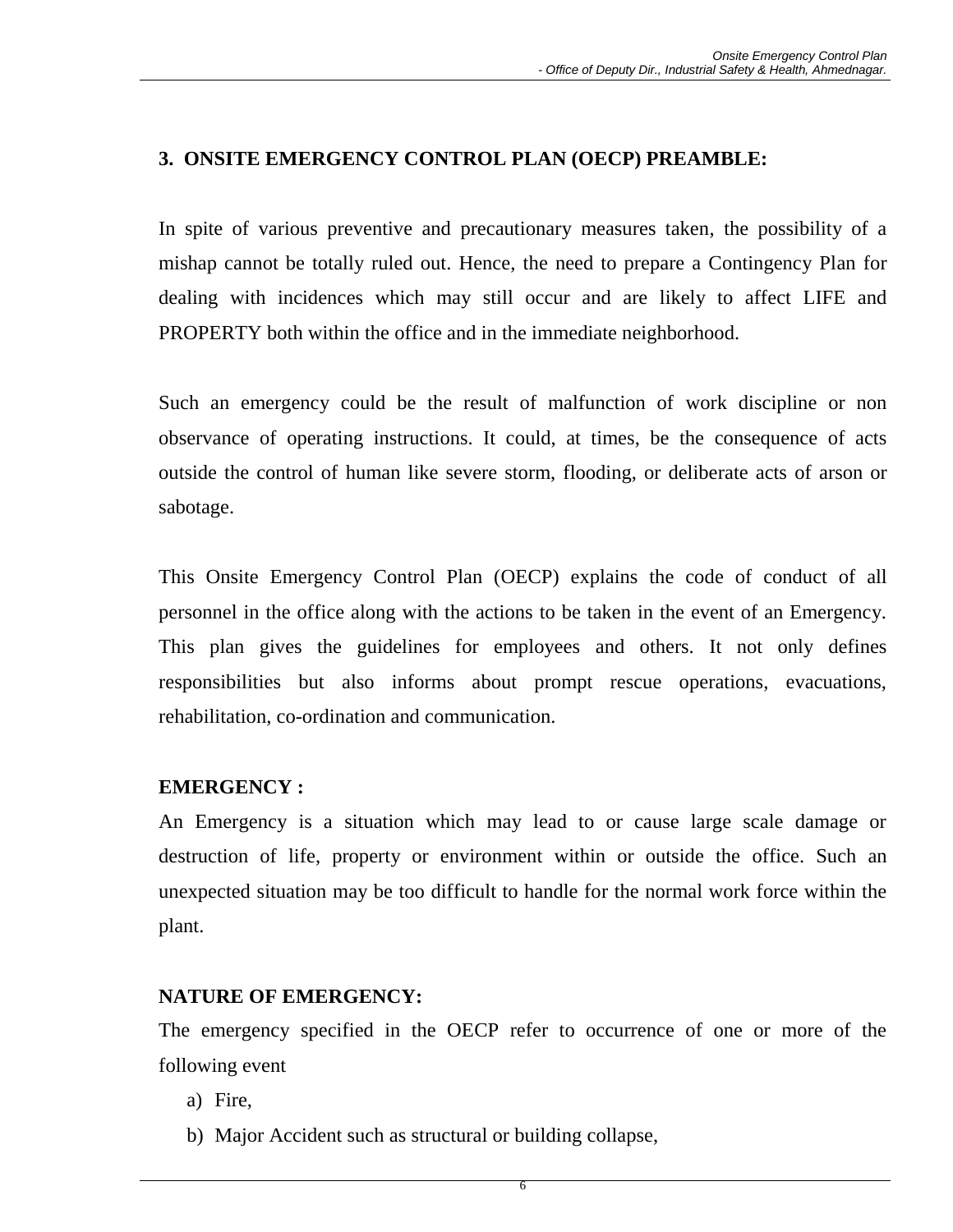#### **3. ONSITE EMERGENCY CONTROL PLAN (OECP) PREAMBLE:**

In spite of various preventive and precautionary measures taken, the possibility of a mishap cannot be totally ruled out. Hence, the need to prepare a Contingency Plan for dealing with incidences which may still occur and are likely to affect LIFE and PROPERTY both within the office and in the immediate neighborhood.

Such an emergency could be the result of malfunction of work discipline or non observance of operating instructions. It could, at times, be the consequence of acts outside the control of human like severe storm, flooding, or deliberate acts of arson or sabotage.

This Onsite Emergency Control Plan (OECP) explains the code of conduct of all personnel in the office along with the actions to be taken in the event of an Emergency. This plan gives the guidelines for employees and others. It not only defines responsibilities but also informs about prompt rescue operations, evacuations, rehabilitation, co-ordination and communication.

#### **EMERGENCY :**

An Emergency is a situation which may lead to or cause large scale damage or destruction of life, property or environment within or outside the office. Such an unexpected situation may be too difficult to handle for the normal work force within the plant.

#### **NATURE OF EMERGENCY:**

The emergency specified in the OECP refer to occurrence of one or more of the following event

- a) Fire,
- b) Major Accident such as structural or building collapse,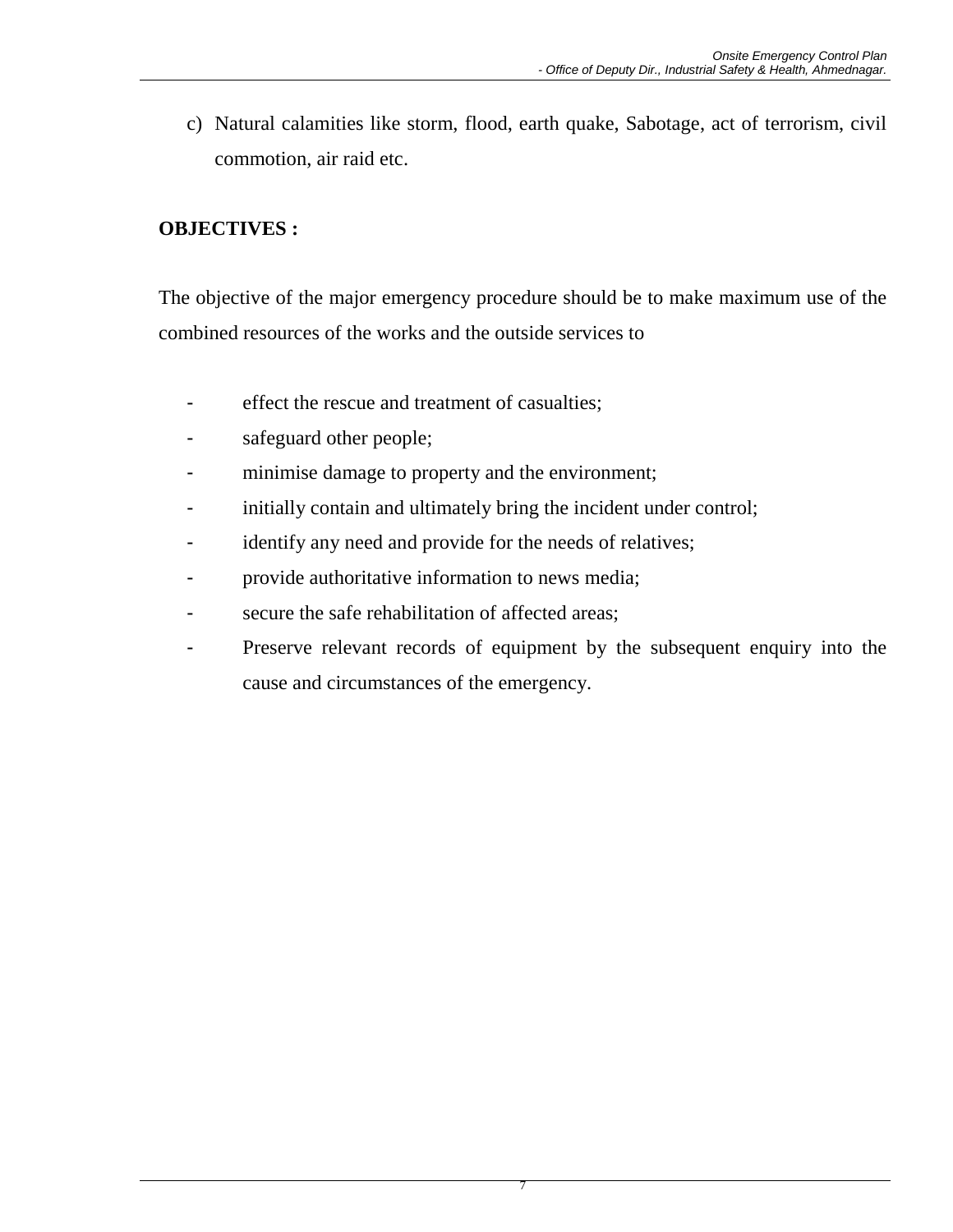c) Natural calamities like storm, flood, earth quake, Sabotage, act of terrorism, civil commotion, air raid etc.

# **OBJECTIVES :**

The objective of the major emergency procedure should be to make maximum use of the combined resources of the works and the outside services to

- effect the rescue and treatment of casualties;
- safeguard other people;
- minimise damage to property and the environment;
- initially contain and ultimately bring the incident under control;
- identify any need and provide for the needs of relatives;
- provide authoritative information to news media;
- secure the safe rehabilitation of affected areas;
- Preserve relevant records of equipment by the subsequent enquiry into the cause and circumstances of the emergency.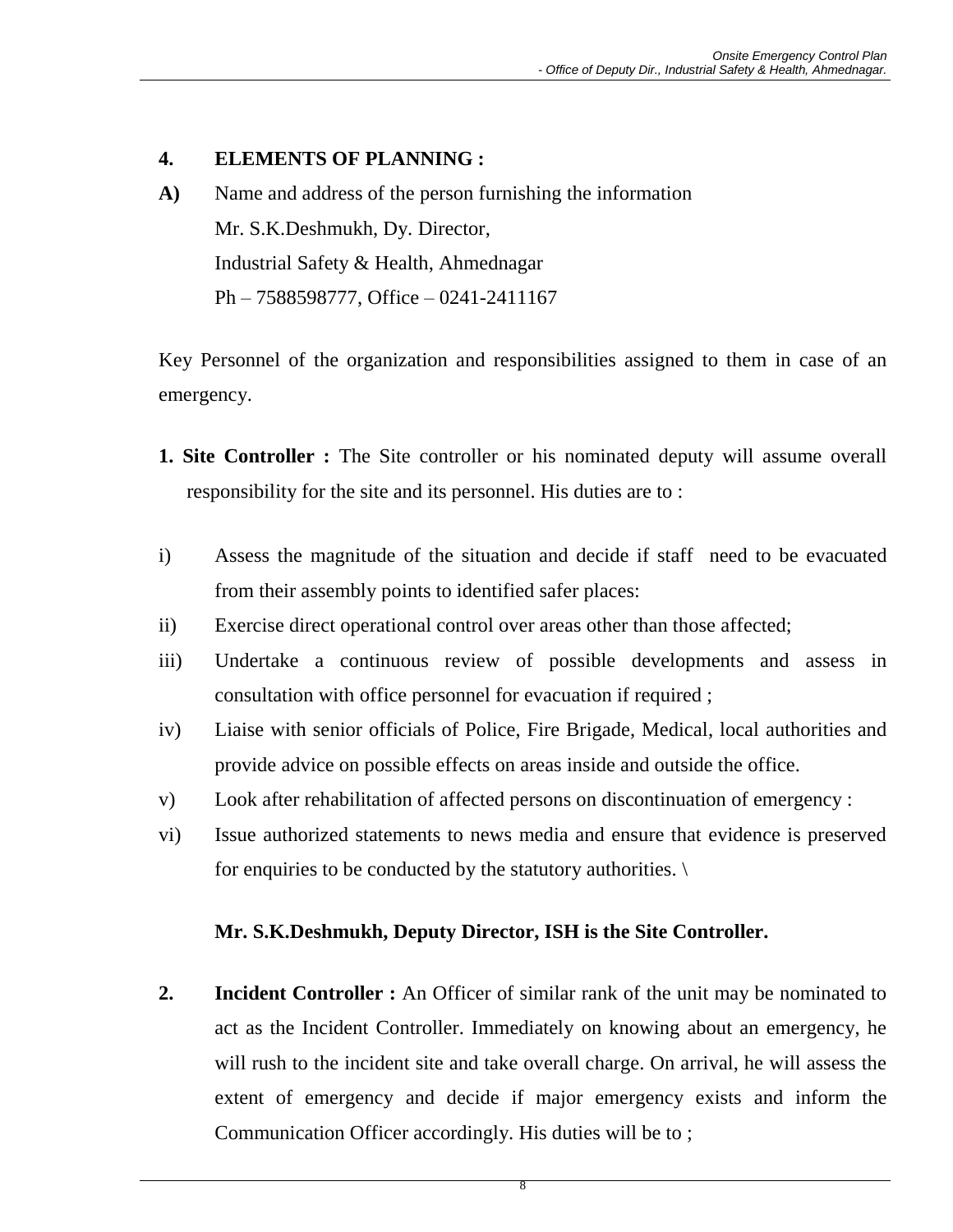#### **4. ELEMENTS OF PLANNING :**

**A)** Name and address of the person furnishing the information Mr. S.K.Deshmukh, Dy. Director, Industrial Safety & Health, Ahmednagar Ph – 7588598777, Office – 0241-2411167

Key Personnel of the organization and responsibilities assigned to them in case of an emergency.

- **1. Site Controller :** The Site controller or his nominated deputy will assume overall responsibility for the site and its personnel. His duties are to :
- i) Assess the magnitude of the situation and decide if staff need to be evacuated from their assembly points to identified safer places:
- ii) Exercise direct operational control over areas other than those affected;
- iii) Undertake a continuous review of possible developments and assess in consultation with office personnel for evacuation if required ;
- iv) Liaise with senior officials of Police, Fire Brigade, Medical, local authorities and provide advice on possible effects on areas inside and outside the office.
- v) Look after rehabilitation of affected persons on discontinuation of emergency :
- vi) Issue authorized statements to news media and ensure that evidence is preserved for enquiries to be conducted by the statutory authorities.

#### **Mr. S.K.Deshmukh, Deputy Director, ISH is the Site Controller.**

**2. Incident Controller :** An Officer of similar rank of the unit may be nominated to act as the Incident Controller. Immediately on knowing about an emergency, he will rush to the incident site and take overall charge. On arrival, he will assess the extent of emergency and decide if major emergency exists and inform the Communication Officer accordingly. His duties will be to ;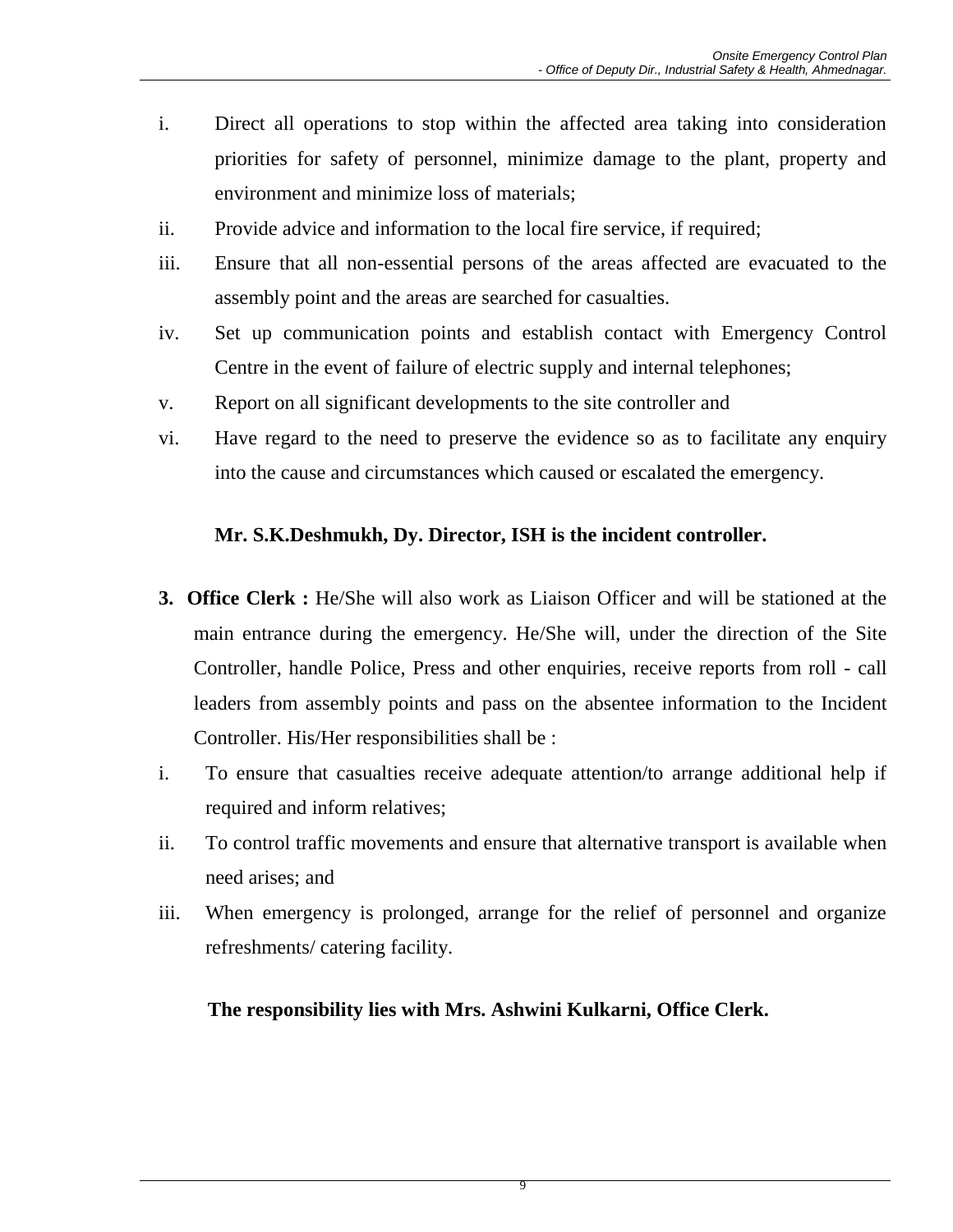- i. Direct all operations to stop within the affected area taking into consideration priorities for safety of personnel, minimize damage to the plant, property and environment and minimize loss of materials;
- ii. Provide advice and information to the local fire service, if required;
- iii. Ensure that all non-essential persons of the areas affected are evacuated to the assembly point and the areas are searched for casualties.
- iv. Set up communication points and establish contact with Emergency Control Centre in the event of failure of electric supply and internal telephones;
- v. Report on all significant developments to the site controller and
- vi. Have regard to the need to preserve the evidence so as to facilitate any enquiry into the cause and circumstances which caused or escalated the emergency.

## **Mr. S.K.Deshmukh, Dy. Director, ISH is the incident controller.**

- **3. Office Clerk :** He/She will also work as Liaison Officer and will be stationed at the main entrance during the emergency. He/She will, under the direction of the Site Controller, handle Police, Press and other enquiries, receive reports from roll - call leaders from assembly points and pass on the absentee information to the Incident Controller. His/Her responsibilities shall be :
- i. To ensure that casualties receive adequate attention/to arrange additional help if required and inform relatives;
- ii. To control traffic movements and ensure that alternative transport is available when need arises; and
- iii. When emergency is prolonged, arrange for the relief of personnel and organize refreshments/ catering facility.

#### **The responsibility lies with Mrs. Ashwini Kulkarni, Office Clerk.**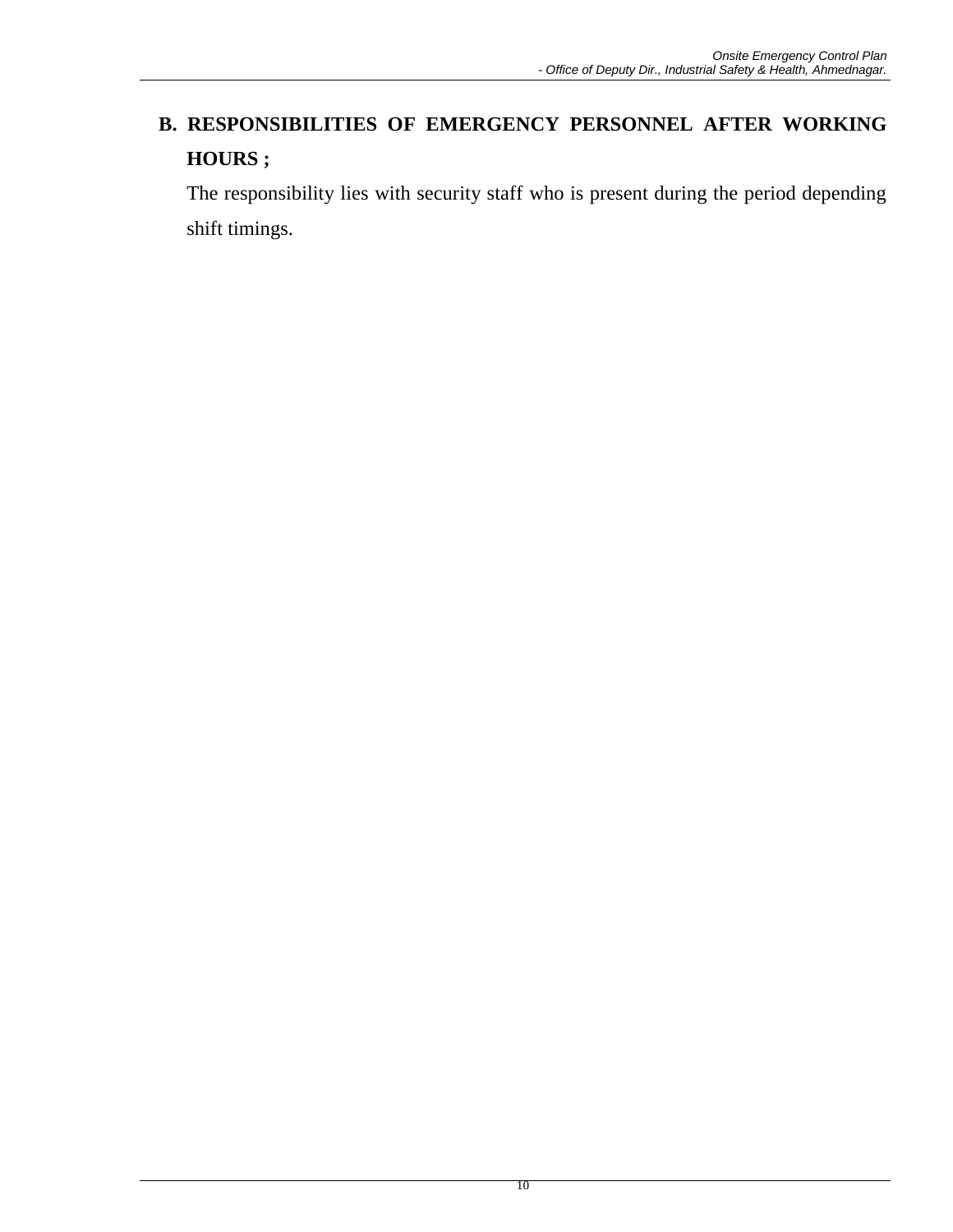# **B. RESPONSIBILITIES OF EMERGENCY PERSONNEL AFTER WORKING HOURS ;**

The responsibility lies with security staff who is present during the period depending shift timings.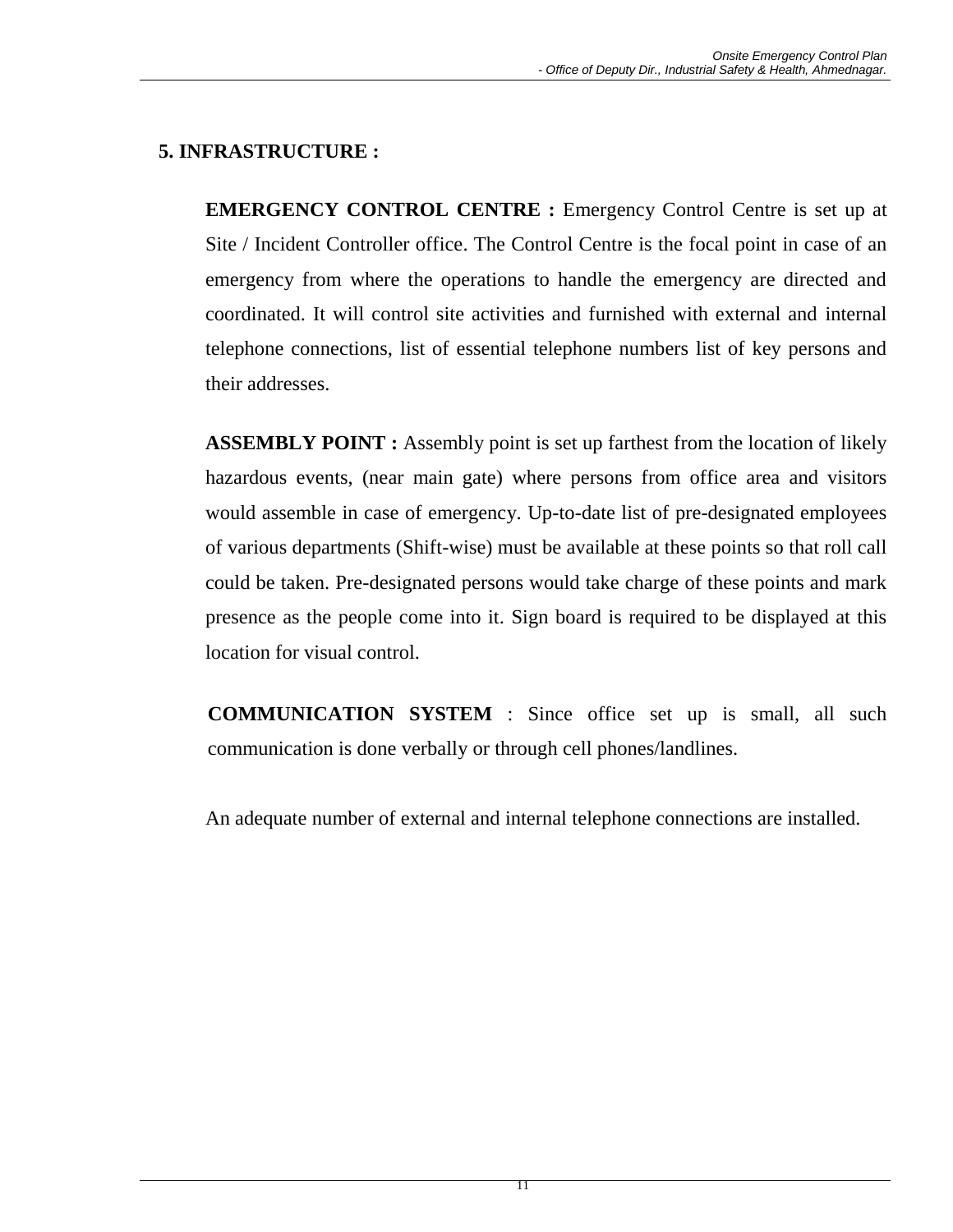# **5. INFRASTRUCTURE :**

**EMERGENCY CONTROL CENTRE :** Emergency Control Centre is set up at Site / Incident Controller office. The Control Centre is the focal point in case of an emergency from where the operations to handle the emergency are directed and coordinated. It will control site activities and furnished with external and internal telephone connections, list of essential telephone numbers list of key persons and their addresses.

**ASSEMBLY POINT :** Assembly point is set up farthest from the location of likely hazardous events, (near main gate) where persons from office area and visitors would assemble in case of emergency. Up-to-date list of pre-designated employees of various departments (Shift-wise) must be available at these points so that roll call could be taken. Pre-designated persons would take charge of these points and mark presence as the people come into it. Sign board is required to be displayed at this location for visual control.

**COMMUNICATION SYSTEM** : Since office set up is small, all such communication is done verbally or through cell phones/landlines.

An adequate number of external and internal telephone connections are installed.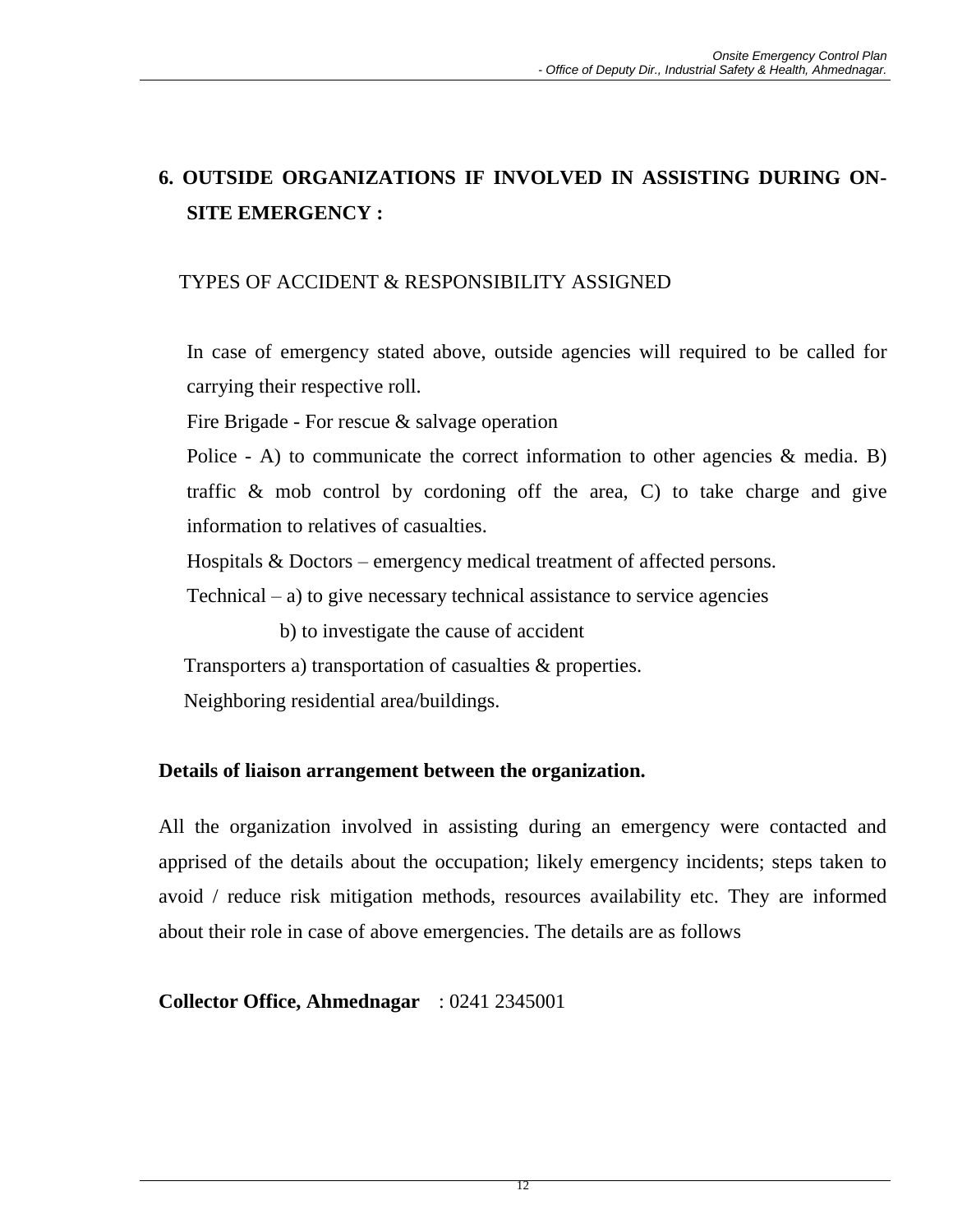# **6. OUTSIDE ORGANIZATIONS IF INVOLVED IN ASSISTING DURING ON-SITE EMERGENCY :**

## TYPES OF ACCIDENT & RESPONSIBILITY ASSIGNED

In case of emergency stated above, outside agencies will required to be called for carrying their respective roll.

Fire Brigade - For rescue & salvage operation

Police  $-$  A) to communicate the correct information to other agencies  $\&$  media. B) traffic & mob control by cordoning off the area, C) to take charge and give information to relatives of casualties.

Hospitals & Doctors – emergency medical treatment of affected persons.

Technical – a) to give necessary technical assistance to service agencies

b) to investigate the cause of accident

Transporters a) transportation of casualties & properties.

Neighboring residential area/buildings.

#### **Details of liaison arrangement between the organization.**

All the organization involved in assisting during an emergency were contacted and apprised of the details about the occupation; likely emergency incidents; steps taken to avoid / reduce risk mitigation methods, resources availability etc. They are informed about their role in case of above emergencies. The details are as follows

**Collector Office, Ahmednagar** : 0241 2345001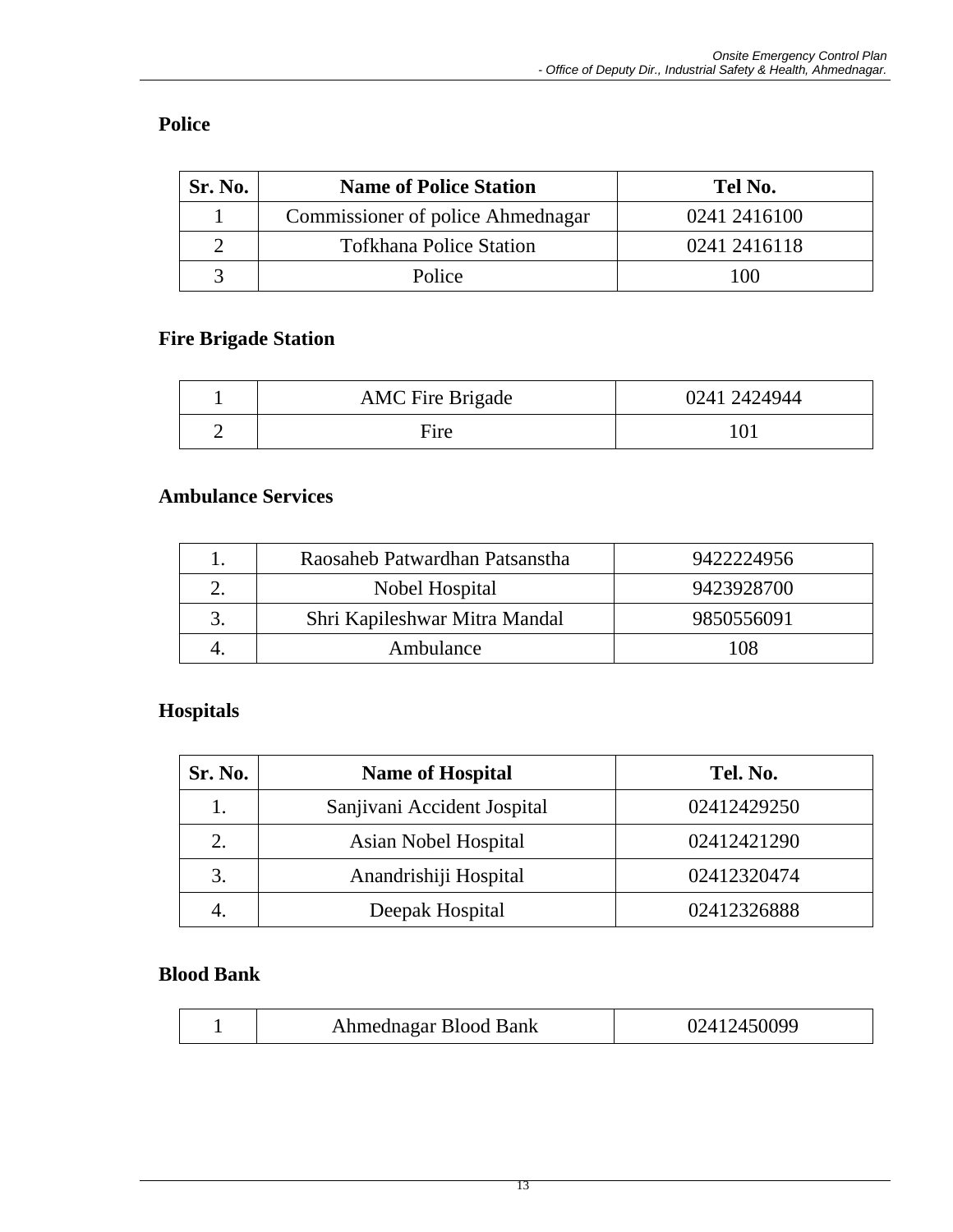# **Police**

| Sr. No. | <b>Name of Police Station</b>     | Tel No.      |
|---------|-----------------------------------|--------------|
|         | Commissioner of police Ahmednagar | 0241 2416100 |
|         | <b>Tofkhana Police Station</b>    | 0241 2416118 |
|         | Police                            | 100          |

#### **Fire Brigade Station**

| <b>AMC</b> Fire Brigade | 0241 2424944 |
|-------------------------|--------------|
| Fire                    |              |

## **Ambulance Services**

| Raosaheb Patwardhan Patsanstha | 9422224956 |
|--------------------------------|------------|
| Nobel Hospital                 | 9423928700 |
| Shri Kapileshwar Mitra Mandal  | 9850556091 |
| Ambulance                      | 108        |

# **Hospitals**

| Sr. No. | <b>Name of Hospital</b>     | Tel. No.    |
|---------|-----------------------------|-------------|
| 1.      | Sanjivani Accident Jospital | 02412429250 |
| 2.      | Asian Nobel Hospital        | 02412421290 |
| 3.      | Anandrishiji Hospital       | 02412320474 |
|         | Deepak Hospital             | 02412326888 |

## **Blood Bank**

|--|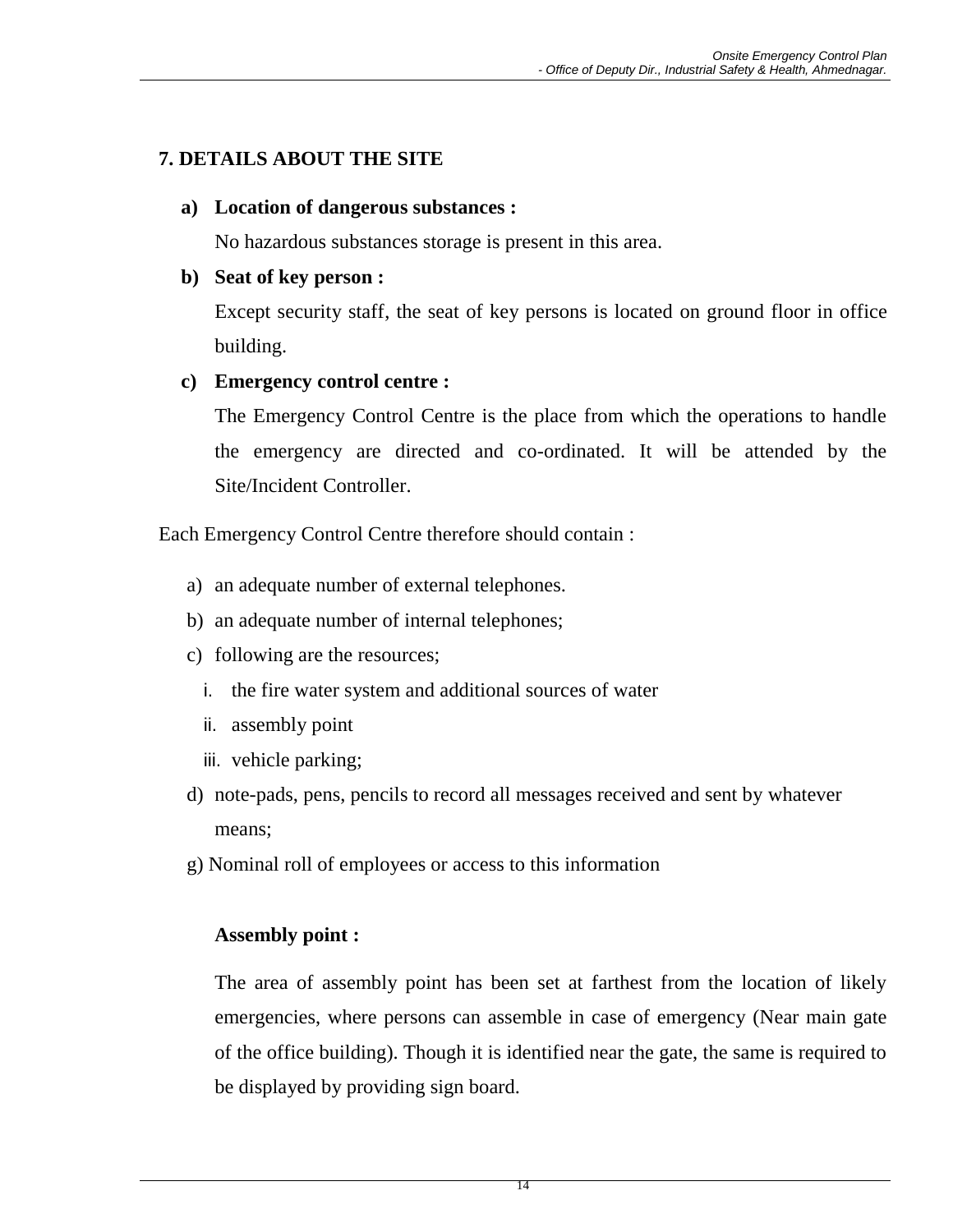# **7. DETAILS ABOUT THE SITE**

#### **a) Location of dangerous substances :**

No hazardous substances storage is present in this area.

## **b) Seat of key person :**

Except security staff, the seat of key persons is located on ground floor in office building.

## **c) Emergency control centre :**

The Emergency Control Centre is the place from which the operations to handle the emergency are directed and co-ordinated. It will be attended by the Site/Incident Controller.

Each Emergency Control Centre therefore should contain :

- a) an adequate number of external telephones.
- b) an adequate number of internal telephones;
- c) following are the resources;
	- i. the fire water system and additional sources of water
	- ii. assembly point
	- iii. vehicle parking;
- d) note-pads, pens, pencils to record all messages received and sent by whatever means;
- g) Nominal roll of employees or access to this information

## **Assembly point :**

The area of assembly point has been set at farthest from the location of likely emergencies, where persons can assemble in case of emergency (Near main gate of the office building). Though it is identified near the gate, the same is required to be displayed by providing sign board.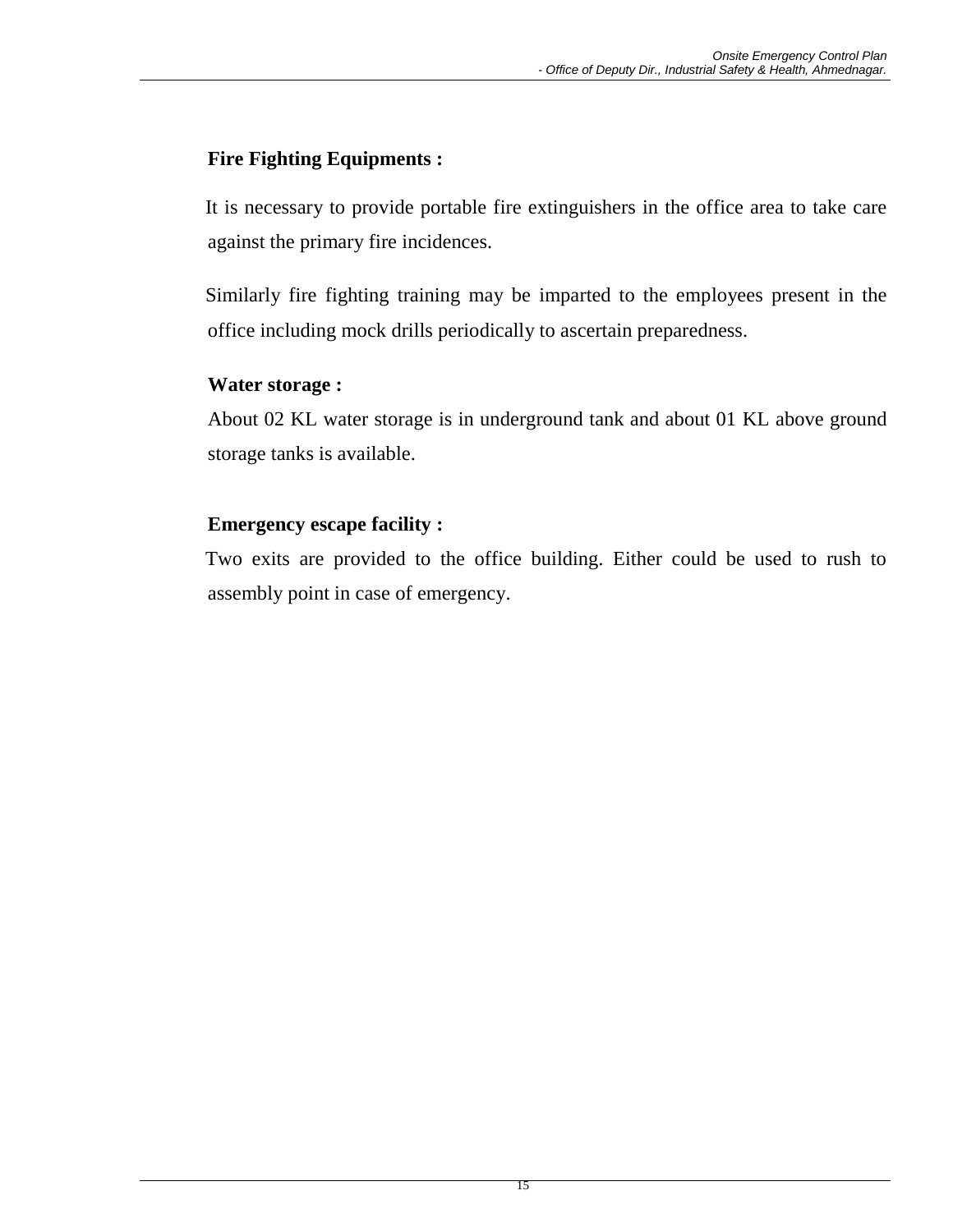## **Fire Fighting Equipments :**

It is necessary to provide portable fire extinguishers in the office area to take care against the primary fire incidences.

Similarly fire fighting training may be imparted to the employees present in the office including mock drills periodically to ascertain preparedness.

#### **Water storage :**

About 02 KL water storage is in underground tank and about 01 KL above ground storage tanks is available.

## **Emergency escape facility :**

Two exits are provided to the office building. Either could be used to rush to assembly point in case of emergency.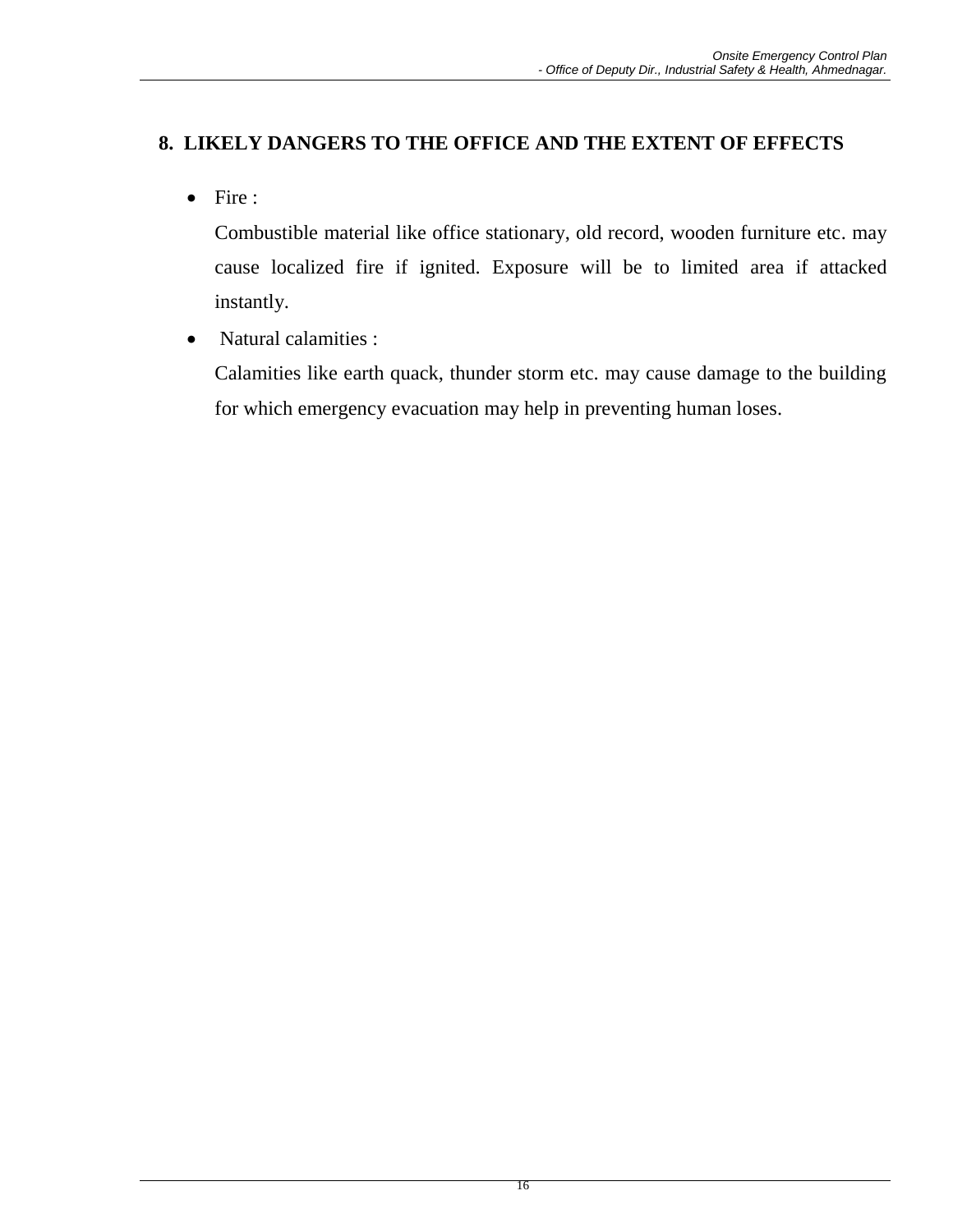## **8. LIKELY DANGERS TO THE OFFICE AND THE EXTENT OF EFFECTS**

• Fire :

Combustible material like office stationary, old record, wooden furniture etc. may cause localized fire if ignited. Exposure will be to limited area if attacked instantly.

• Natural calamities :

Calamities like earth quack, thunder storm etc. may cause damage to the building for which emergency evacuation may help in preventing human loses.